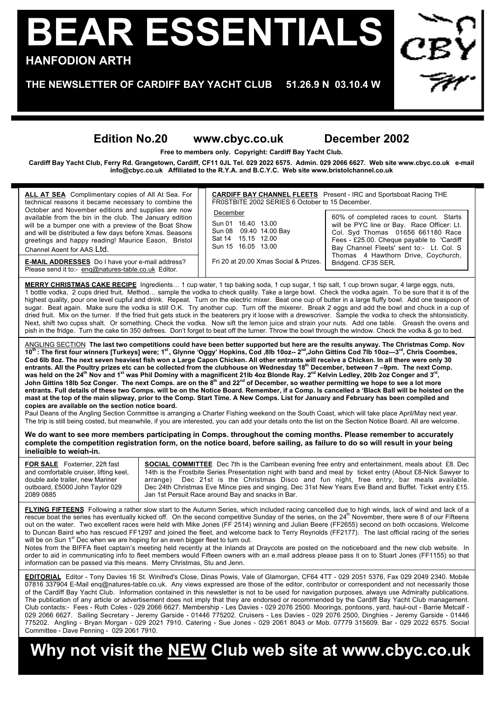# **BEAR ESSENTIALS HANFODION ARTH**

**THE NEWSLETTER OF CARDIFF BAY YACHT CLUB 51.26.9 N 03.10.4 W**

### **Edition No.20 www.cbyc.co.uk December 2002**

**Free to members only. Copyright: Cardiff Bay Yacht Club.**

**Cardiff Bay Yacht Club, Ferry Rd. Grangetown, Cardiff, CF11 0JL Tel. 029 2022 6575. Admin. 029 2066 6627. Web site www.cbyc.co.uk e-mail info@cbyc.co.uk Affiliated to the R.Y.A. and B.C.Y.C. Web site www.bristolchannel.co.uk**

**CARDIFF BAY CHANNEL FLEETS** Present - IRC and Sportsboat Racing THE FR0STBITE 2002 SERIES 6 October to 15 December. December Sun 01 16.40 13.00 Sun 08 09.40 14.00 Bay Sat 14 15.15 12.00 Sun 15 16.05 13.00 Fri 20 at 20.00 Xmas Social & Prizes. 60% of completed races to count. Starts will be PYC line or Bay. Race Officer: Lt. Col. Syd Thomas 01656 661180 Race Fees - £25.00. Cheque payable to 'Cardiff Bay Channel Fleets' sent to:- Lt. Col. S Thomas 4 Hawthorn Drive, Coychurch, Bridgend. CF35 SER**. MERRY CHRISTMAS CAKE RECIPE** Ingredients… 1 cup water, 1 tsp baking soda, 1 cup sugar, 1 tsp salt, 1 cup brown sugar, 4 large eggs, nuts, 1 bottle vodka, 2 cups dried fruit, Method… sample the vodka to check quality. Take a large bowl. Check the vodka again. To be sure that it is of the highest quality, pour one level cupful and drink. Repeat. Turn on the electric mixer. Beat one cup of butter in a large fluffy bowl. Add one teaspoon of sugar. Beat again. Make sure the vodka is still O.K. Try another cup. Turn off the mixerer. Break 2 eggs and add the bowl and chuck in a cup of dried fruit. Mix on the turner. If the fried fruit gets stuck in the beaterers pry it loose with a drewscriver. Sample the vodka to check the shtonsisticity. Next, shift two cupss shalt. Or something. Check the vodka. Now sift the lemon juice and strain your nuts. Add one table. Greash the ovens and pish in the fridge. Turn the cake tin 350 defrees. Don't forget to beat off the turner. Throw the bowl through the window. Check the vodka & go to bed. **ALL AT SEA** Complimentary copies of All At Sea. For technical reasons it became necessary to combine the October and November editions and supplies are now available from the bin in the club. The January edition will be a bumper one with a preview of the Boat Show and will be distributed a few days before Xmas. Seasons greetings and happy reading! Maurice Eason, Bristol Channel Agent for AAS Ltd. **E-MAIL ADDRESSES** Do I have your e-mail address? Please send it to:- enq@natures-table.co.uk Editor. ANGLING SECTION **The last two competitions could have been better supported but here are the results anyway. The Christmas Comp. Nov** 10<sup>th</sup>: The first four winners [Turkeys] were; 1<sup>st</sup>, Glynne 'Oggy' Hopkins, Cod ,8lb 10oz-- 2<sup>nd</sup>,John Gittins Cod 7lb 10oz--3<sup>rd</sup>, Chris Coombes, **Cod 6lb 8oz. The next seven heaviest fish won a Large Capon Chicken. All other entrants will receive a Chicken. In all there were only 30 entrants. All the Poultry prizes etc can be collected from the clubhouse on Wednesday 18th December, between 7 –9pm. The next Comp.** was held on the 24<sup>th</sup> Nov and 1<sup>st</sup> was Phil Dominy with a magnificent 21lb 4oz Blonde Ray. 2<sup>nd</sup> Kelvin Ledley, 20lb 2oz Conger and 3<sup>rd</sup>, John Gittins 18lb 5oz Conger. The next Comps. are on the 8<sup>th</sup> and 22<sup>nd</sup> of December, so weather permitting we hope to see a lot more **entrants. Full details of these two Comps. will be on the Notice Board. Remember, if a Comp. Is cancelled a 'Black Ball will be hoisted on the mast at the top of the main slipway, prior to the Comp. Start Time. A New Comps. List for January and February has been compiled and copies are available on the section notice board.** Paul Deans of the Angling Section Committee is arranging a Charter Fishing weekend on the South Coast, which will take place April/May next year. The trip is still being costed, but meanwhile, if you are interested, you can add your details onto the list on the Section Notice Board. All are welcome. **We do want to see more members participating in Comps. throughout the coming months. Please remember to accurately complete the competition registration form, on the notice board, before sailing, as failure to do so will result in your being**

**ineligible to weigh-in. FOR SALE** Foxterrier, 22ft fast and comfortable cruiser, lifting keel, double axle trailer, new Mariner outboard, £5000 John Taylor 029 2089 0885 **SOCIAL COMMITTEE** Dec 7th is the Carribean evening free entry and entertainment, meals about £8. Dec 14th is the Frostbite Series Presentation night with band and meal by ticket entry (About £8-Nick Sawyer to arrange) Dec 21st is the Christmas Disco and fun night, free entry, bar meals available. Dec 24th Christmas Eve Mince pies and singing. Dec 31st New Years Eve Band and Buffet. Ticket entry £15. Jan 1st Persuit Race around Bay and snacks in Bar.

FLYING FIFTEENS Following a rather slow start to the Autumn Series, which included racing cancelled due to high winds, lack of wind and lack of a rescue boat the series has eventually kicked off. On the second competitive Sunday of the series, on the 24<sup>th</sup> November, there were 8 of our Fifteens out on the water. Two excellent races were held with Mike Jones (FF 2514) winning and Julian Beere (FF2655) second on both occasions. Welcome to Duncan Baird who has rescued FF1297 and joined the fleet, and welcome back to Terry Reynolds (FF2177). The last official racing of the series will be on Sun  $1<sup>st</sup>$  Dec when we are hoping for an even bigger fleet to turn out.

Notes from the BIFFA fleet captain's meeting held recently at the Inlands at Draycote are posted on the noticeboard and the new club website. In order to aid in communicating info to fleet members would Fifteen owners with an e.mail address please pass it on to Stuart Jones (FF1155) so that information can be passed via this means. Merry Christmas, Stu and Jenn.

**EDITORIAL** Editor - Tony Davies 16 St. Winifred's Close, Dinas Powis, Vale of Glamorgan, CF64 4TT - 029 2051 5376, Fax 029 2049 2340. Mobile 07816 337904 E-Mail eng@natures-table.co.uk. Any views expressed are those of the editor, contributor or correspondent and not necessarily those of the Cardiff Bay Yacht Club. Information contained in this newsletter is not to be used for navigation purposes, always use Admiralty publications. The publication of any article or advertisement does not imply that they are endorsed or recommended by the Cardiff Bay Yacht Club management. Club contacts:- Fees - Ruth Coles - 029 2066 6627. Membership - Les Davies - 029 2076 2500. Moorings, pontoons, yard, haul-out - Barrie Metcalf - 029 2066 6627. Sailing Secretary - Jeremy Garside - 01446 775202. Cruisers - Les Davies - 029 2076 2500, Dinghies - Jeremy Garside - 01446 775202. Angling - Bryan Morgan - 029 2021 7910. Catering - Sue Jones - 029 2061 8043 or Mob. 07779 315609. Bar - 029 2022 6575. Social Committee - Dave Penning - 029 2061 7910.

## **Why not visit the NEW Club web site at www.cbyc.co.uk**